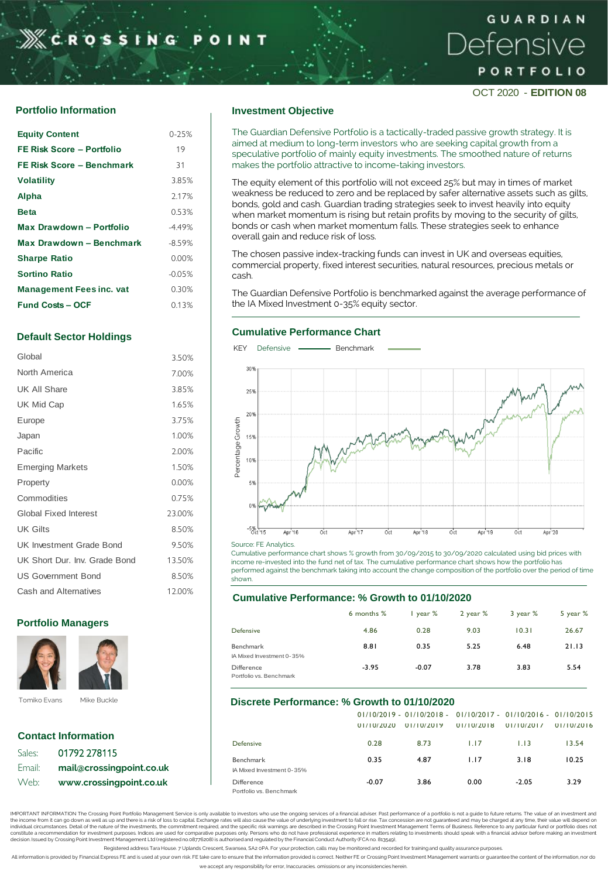# **CROSSING**

# GUARDIAN Defensive PORTFOLIO

OCT 2020 - **EDITION 08**

# **Portfolio Information Investment Objective**

| <b>Equity Content</b>           | $0 - 25%$ |
|---------------------------------|-----------|
| FE Risk Score - Portfolio       | 19        |
| FE Risk Score - Benchmark       | 31        |
| <b>Volatility</b>               | 3.85%     |
| Alpha                           | 2.17%     |
| <b>Beta</b>                     | 0.53%     |
| Max Drawdown - Portfolio        | $-4.49%$  |
| Max Drawdown - Benchmark        | $-8.59%$  |
| <b>Sharpe Ratio</b>             | 0.00%     |
| <b>Sortino Ratio</b>            | $-0.05%$  |
| <b>Management Fees inc. vat</b> | 0.30%     |
| <b>Fund Costs - OCF</b>         | 0.13%     |
|                                 |           |

# **Default Sector Holdings**

| Global                          | 3.50%  |
|---------------------------------|--------|
| North America                   | 7.00%  |
| UK All Share                    | 3.85%  |
| UK Mid Cap                      | 1.65%  |
| Europe                          | 3.75%  |
| Japan                           | 1.00%  |
| Pacific                         | 2.00%  |
| <b>Emerging Markets</b>         | 1.50%  |
| Property                        | 0.00%  |
| Commodities                     | 0.75%  |
| <b>Global Fixed Interest</b>    | 23.00% |
| <b>UK Gilts</b>                 | 8.50%  |
| <b>UK Investment Grade Bond</b> | 9.50%  |
| UK Short Dur. Inv. Grade Bond   | 13.50% |
| <b>US Government Bond</b>       | 8.50%  |
| Cash and Alternatives           | 12.00% |

## **Portfolio Managers Portfolio Managers**



|        | <b>Contact Information</b> |
|--------|----------------------------|
| Sales: | 01792 278115               |
| Email: | mail@crossingpoint.co.uk   |
| Web:   | www.crossingpoint.co.uk    |

The Guardian Defensive Portfolio is a tactically-traded passive growth strategy. It is aimed at medium to long-term investors who are seeking capital growth from a speculative portfolio of mainly equity investments. The smoothed nature of returns makes the portfolio attractive to income-taking investors.

The equity element of this portfolio will not exceed 25% but may in times of market weakness be reduced to zero and be replaced by safer alternative assets such as gilts, bonds, gold and cash. Guardian trading strategies seek to invest heavily into equity when market momentum is rising but retain profits by moving to the security of gilts, bonds or cash when market momentum falls. These strategies seek to enhance overall gain and reduce risk of loss.

The chosen passive index-tracking funds can invest in UK and overseas equities, commercial property, fixed interest securities, natural resources, precious metals or cash.

The Guardian Defensive Portfolio is benchmarked against the average performance of the IA Mixed Investment 0-35% equity sector.

#### **Cumulative Performance Chart**



Source: FE Analytics.

Cumulative performance chart shows % growth from 30/09/2015 to 30/09/2020 calculated using bid prices with income re-invested into the fund net of tax. The cumulative performance chart shows how the portfolio has performed against the benchmark taking into account the change composition of the portfolio over the period of time shown.

#### **Cumulative Performance: % Growth to 01/10/2020**

|                                        | 6 months % | $l$ year $%$ | 2 year % | 3 year % | 5 year % |
|----------------------------------------|------------|--------------|----------|----------|----------|
| Defensive                              | 4.86       | 0.28         | 9.03     | 10.31    | 26.67    |
| Benchmark<br>IA Mixed Investment 0-35% | 8.81       | 0.35         | 5.25     | 6.48     | 21.13    |
| Difference<br>Portfolio vs. Benchmark  | $-3.95$    | $-0.07$      | 3.78     | 3.83     | 5.54     |

# **Discrete Performance: % Growth to 01/10/2020**

|                                       | 01/10/2020 | $01/10/2019 - 01/10/2018 - 01/10/2017 - 01/10/2016 - 01/10/2015$<br>01/10/2019 | 01/10/2018 | 01/10/2017 | 01/10/2016 |  |
|---------------------------------------|------------|--------------------------------------------------------------------------------|------------|------------|------------|--|
| Defensive                             | 0.28       | 8.73                                                                           | 1.17       | 1.13       | 13.54      |  |
| Benchmark<br>A Mixed Investment 0-35% | 0.35       | 4.87                                                                           | 1.17       | 3.18       | 10.25      |  |
| Difference<br>Portfolio vs. Benchmark | $-0.07$    | 3.86                                                                           | 0.00       | $-2.05$    | 3.29       |  |

IMPORTANT INFORMATION The Crossing Point Portfolio Management Service is only available to investors who use the ongoing services of a financial adviser. Past performance of a portfolio is not a guide to future returns. Th the income from it can go down as well as up and there is a risk of loss to capital. Exchange rates will also cause the value of underlying investment to fall or rise. Tax concession are not guaranteed and may be charged a individual circumstances. Detail of the nature of the investments, the commitment required, and the specific risk warnings are described in the Crossing Point Investment Management Terms of Business. Reference to any parti

Registered address Tara House. 7 Uplands Crescent, Swansea, SA2 oPA. For your protection, calls may be monitored and recorded for training and quality assurance purpose

All information is provided by Financial Express FE and is used at your own risk. FE take care to ensure that the information provided is correct. Neither FE or Crossing Point Investment Management warrants or guarantee th we accept any responsibility for error, Inaccuracies. omissions or any inconsistencies herein.